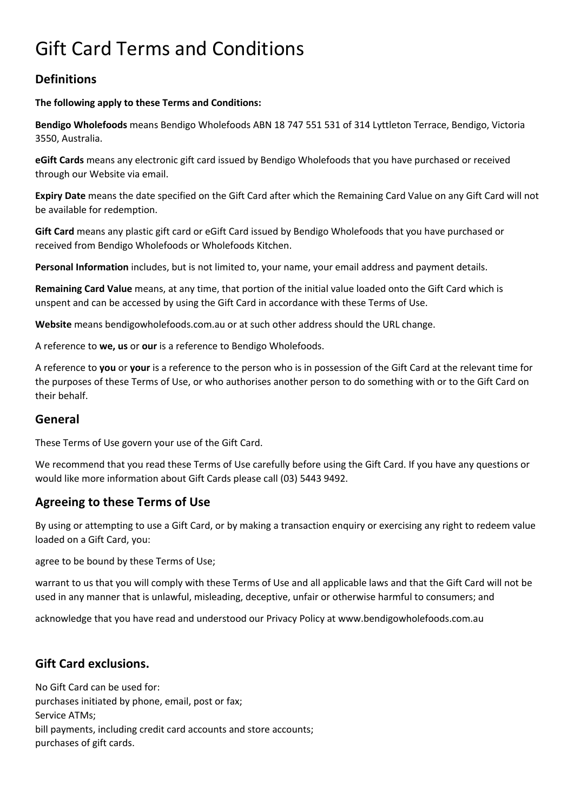# Gift Card Terms and Conditions

## **Definitions**

#### **The following apply to these Terms and Conditions:**

**Bendigo Wholefoods** means Bendigo Wholefoods ABN 18 747 551 531 of 314 Lyttleton Terrace, Bendigo, Victoria 3550, Australia.

**eGift Cards** means any electronic gift card issued by Bendigo Wholefoods that you have purchased or received through our Website via email.

**Expiry Date** means the date specified on the Gift Card after which the Remaining Card Value on any Gift Card will not be available for redemption.

**Gift Card** means any plastic gift card or eGift Card issued by Bendigo Wholefoods that you have purchased or received from Bendigo Wholefoods or Wholefoods Kitchen.

**Personal Information** includes, but is not limited to, your name, your email address and payment details.

**Remaining Card Value** means, at any time, that portion of the initial value loaded onto the Gift Card which is unspent and can be accessed by using the Gift Card in accordance with these Terms of Use.

**Website** means bendigowholefoods.com.au or at such other address should the URL change.

A reference to **we, us** or **our** is a reference to Bendigo Wholefoods.

A reference to **you** or **your** is a reference to the person who is in possession of the Gift Card at the relevant time for the purposes of these Terms of Use, or who authorises another person to do something with or to the Gift Card on their behalf.

#### **General**

These Terms of Use govern your use of the Gift Card.

We recommend that you read these Terms of Use carefully before using the Gift Card. If you have any questions or would like more information about Gift Cards please call (03) 5443 9492.

## **Agreeing to these Terms of Use**

By using or attempting to use a Gift Card, or by making a transaction enquiry or exercising any right to redeem value loaded on a Gift Card, you:

agree to be bound by these Terms of Use;

warrant to us that you will comply with these Terms of Use and all applicable laws and that the Gift Card will not be used in any manner that is unlawful, misleading, deceptive, unfair or otherwise harmful to consumers; and

acknowledge that you have read and understood our Privacy Policy at www.bendigowholefoods.com.au

#### **Gift Card exclusions.**

No Gift Card can be used for: purchases initiated by phone, email, post or fax; Service ATMs; bill payments, including credit card accounts and store accounts; purchases of gift cards.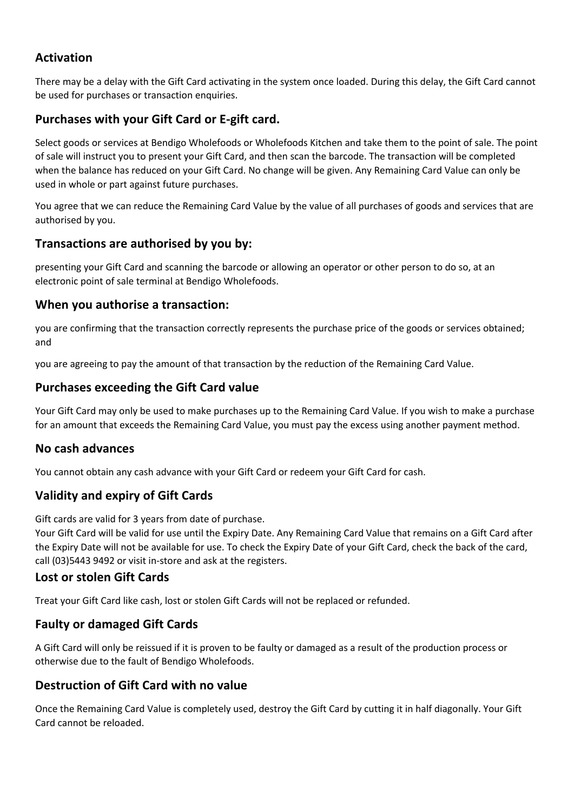## **Activation**

There may be a delay with the Gift Card activating in the system once loaded. During this delay, the Gift Card cannot be used for purchases or transaction enquiries.

#### **Purchases with your Gift Card or E-gift card.**

Select goods or services at Bendigo Wholefoods or Wholefoods Kitchen and take them to the point of sale. The point of sale will instruct you to present your Gift Card, and then scan the barcode. The transaction will be completed when the balance has reduced on your Gift Card. No change will be given. Any Remaining Card Value can only be used in whole or part against future purchases.

You agree that we can reduce the Remaining Card Value by the value of all purchases of goods and services that are authorised by you.

#### **Transactions are authorised by you by:**

presenting your Gift Card and scanning the barcode or allowing an operator or other person to do so, at an electronic point of sale terminal at Bendigo Wholefoods.

#### **When you authorise a transaction:**

you are confirming that the transaction correctly represents the purchase price of the goods or services obtained; and

you are agreeing to pay the amount of that transaction by the reduction of the Remaining Card Value.

#### **Purchases exceeding the Gift Card value**

Your Gift Card may only be used to make purchases up to the Remaining Card Value. If you wish to make a purchase for an amount that exceeds the Remaining Card Value, you must pay the excess using another payment method.

#### **No cash advances**

You cannot obtain any cash advance with your Gift Card or redeem your Gift Card for cash.

## **Validity and expiry of Gift Cards**

Gift cards are valid for 3 years from date of purchase.

Your Gift Card will be valid for use until the Expiry Date. Any Remaining Card Value that remains on a Gift Card after the Expiry Date will not be available for use. To check the Expiry Date of your Gift Card, check the back of the card, call (03)5443 9492 or visit in-store and ask at the registers.

#### **Lost or stolen Gift Cards**

Treat your Gift Card like cash, lost or stolen Gift Cards will not be replaced or refunded.

#### **Faulty or damaged Gift Cards**

A Gift Card will only be reissued if it is proven to be faulty or damaged as a result of the production process or otherwise due to the fault of Bendigo Wholefoods.

#### **Destruction of Gift Card with no value**

Once the Remaining Card Value is completely used, destroy the Gift Card by cutting it in half diagonally. Your Gift Card cannot be reloaded.